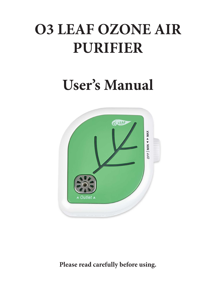# **O3 LEAF OZONE AIR PURIFIER**

## **User's Manual**



**Please read carefully before using.**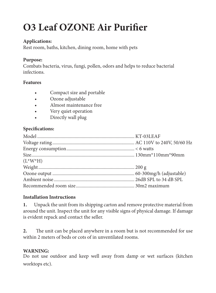### **O3 Leaf OZONE Air Purifier**

#### **Applications:**

Rest room, baths, kitchen, dining room, home with pets

#### **Purpose:**

Combats bacteria, virus, fungi, pollen, odors and helps to reduce bacterial infections.

#### **Features**

- Compact size and portable
- Ozone adjustable
- Almost maintenance free
- Very quiet operation
- Directly wall plug

#### Specifications:

| $(L^*W^*H)$ |  |
|-------------|--|
|             |  |
|             |  |
|             |  |
|             |  |

#### **Installation Instructions**

**1.** Unpack the unit from its shipping carton and remove protective material from around the unit. Inspect the unit for any visible signs of physical damage. If damage is evident repack and contact the seller.

2. The unit can be placed anywhere in a room but is not recommended for use within 2 meters of beds or cots of in unventilated rooms.

#### **WARNING:**

Do not use outdoor and keep well away from damp or wet surfaces (kitchen worktops etc).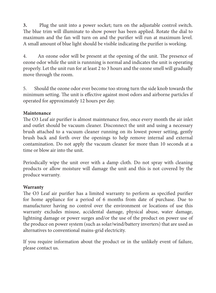**3.** Plug the unit into a power socket; turn on the adjustable control switch. The blue trim will illuminate to show power has been applied. Rotate the dial to maximum and the fan will turn on and the purifier will run at maximum level. A small amount of blue light should be visible indicating the purifier is working.

4. An ozone odor will be present at the opening of the unit. The presence of ozone odor while the unit is runnning is normal and indicates the unit is operating properly. Let the unit run for at least 2 to 3 hours and the ozone smell will gradually move through the room.

5. Should the ozone odor ever become too strong turn the side knob towards the minimum setting. The unit is effective against most odors and airborne particles if operated for approximately 12 hours per day.

#### **Maintenance**

The O3 Leaf air purifier is almost maintenance free, once every month the air inlet and outlet should be vacuum cleaner. Disconnect the unit and using a necessary brush attached to a vacuum cleaner running on its lowest power setting, gently brush back and forth over the openings to help remove internal and external contamination. Do not apply the vacuum cleaner for more than 10 seconds at a time or blow air into the unit.

Periodically wipe the unit over with a damp cloth. Do not spray with cleaning products or allow moisture will damage the unit and this is not covered by the produce warranty.

#### **Warranty**

The O3 Leaf air purifier has a limited warranty to perform as specified purifier for home appliance for a period of 6 months from date of purchase. Due to manufacturer having no control over the environment or locations of use this warranty excludes misuse, accidental damage, physical abuse, water damage, lightning damage or power surges and/or the use of the product on power use of the produce on power system (such as solar/wind/battery inverters) that are used as alternatives to conventional mains-grid electricity.

If you require information about the product or in the unlikely event of failure, please contact us.